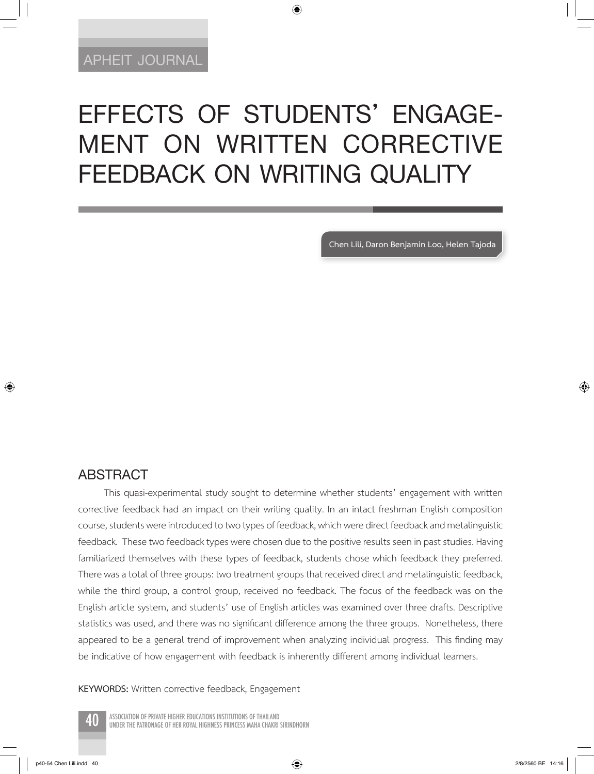# **EFFECTS OF STUDENTS' ENGAGE- MENT ON WRITTEN CORRECTIVE FEEDBACK ON WRITING QUALITY**

◈

**Chen Lili, Daron Benjamin Loo, Helen Tajoda** 

## **ABSTRACT**

⊕

This quasi-experimental study sought to determine whether students' engagement with written corrective feedback had an impact on their writing quality. In an intact freshman English composition course, students were introduced to two types of feedback, which were direct feedback and metalinguistic feedback. These two feedback types were chosen due to the positive results seen in past studies. Having familiarized themselves with these types of feedback, students chose which feedback they preferred. There was a total of three groups: two treatment groups that received direct and metalinguistic feedback, while the third group, a control group, received no feedback. The focus of the feedback was on the English article system, and students' use of English articles was examined over three drafts. Descriptive statistics was used, and there was no significant difference among the three groups. Nonetheless, there appeared to be a general trend of improvement when analyzing individual progress. This finding may be indicative of how engagement with feedback is inherently different among individual learners.

**KEYWORDS:** Written corrective feedback, Engagement



ASSOCIATION OF PRIVATE HIGHER EDUCATIONS INSTITUTIONS OF THAILAND<br>UNDER THE PATRONAGE OF HER ROYAL HIGHNESS PRINCESS MAHA CHAKRI SIRINDHORN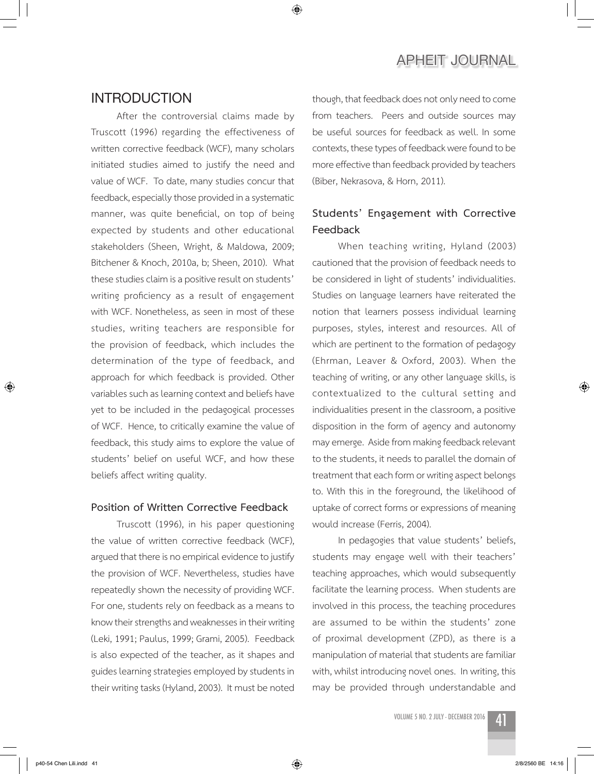## **INTRODUCTION**

After the controversial claims made by Truscott (1996) regarding the effectiveness of written corrective feedback (WCF), many scholars initiated studies aimed to justify the need and value of WCF. To date, many studies concur that feedback, especially those provided in a systematic manner, was quite beneficial, on top of being expected by students and other educational stakeholders (Sheen, Wright, & Maldowa, 2009; Bitchener & Knoch, 2010a, b; Sheen, 2010). What these studies claim is a positive result on students' writing proficiency as a result of engagement with WCF. Nonetheless, as seen in most of these studies, writing teachers are responsible for the provision of feedback, which includes the determination of the type of feedback, and approach for which feedback is provided. Other variables such as learning context and beliefs have yet to be included in the pedagogical processes of WCF. Hence, to critically examine the value of feedback, this study aims to explore the value of students' belief on useful WCF, and how these beliefs affect writing quality.

#### **Position of Written Corrective Feedback**

Truscott (1996), in his paper questioning the value of written corrective feedback (WCF), argued that there is no empirical evidence to justify the provision of WCF. Nevertheless, studies have repeatedly shown the necessity of providing WCF. For one, students rely on feedback as a means to know their strengths and weaknesses in their writing (Leki, 1991; Paulus, 1999; Grami, 2005). Feedback is also expected of the teacher, as it shapes and guides learning strategies employed by students in their writing tasks (Hyland, 2003). It must be noted

though, that feedback does not only need to come from teachers. Peers and outside sources may be useful sources for feedback as well. In some contexts, these types of feedback were found to be more effective than feedback provided by teachers (Biber, Nekrasova, & Horn, 2011).

◈

# **Students' Engagement with Corrective Feedback**

When teaching writing, Hyland (2003) cautioned that the provision of feedback needs to be considered in light of students' individualities. Studies on language learners have reiterated the notion that learners possess individual learning purposes, styles, interest and resources. All of which are pertinent to the formation of pedagogy (Ehrman, Leaver & Oxford, 2003). When the teaching of writing, or any other language skills, is contextualized to the cultural setting and individualities present in the classroom, a positive disposition in the form of agency and autonomy may emerge. Aside from making feedback relevant to the students, it needs to parallel the domain of treatment that each form or writing aspect belongs to. With this in the foreground, the likelihood of uptake of correct forms or expressions of meaning would increase (Ferris, 2004).

In pedagogies that value students' beliefs, students may engage well with their teachers' teaching approaches, which would subsequently facilitate the learning process. When students are involved in this process, the teaching procedures are assumed to be within the students' zone of proximal development (ZPD), as there is a manipulation of material that students are familiar with, whilst introducing novel ones. In writing, this may be provided through understandable and

**VOLUME 5 NO. 2 JULY - DECEMBER 2016** 41



↔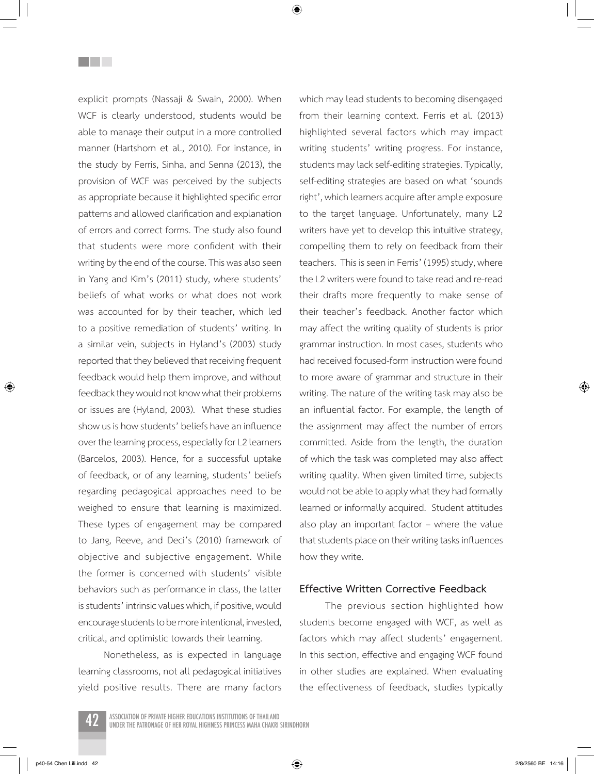explicit prompts (Nassaji & Swain, 2000). When WCF is clearly understood, students would be able to manage their output in a more controlled manner (Hartshorn et al., 2010). For instance, in the study by Ferris, Sinha, and Senna (2013), the provision of WCF was perceived by the subjects as appropriate because it highlighted specific error patterns and allowed clarification and explanation of errors and correct forms. The study also found that students were more confident with their writing by the end of the course. This was also seen in Yang and Kim's (2011) study, where students' beliefs of what works or what does not work was accounted for by their teacher, which led to a positive remediation of students' writing. In a similar vein, subjects in Hyland's (2003) study reported that they believed that receiving frequent feedback would help them improve, and without feedback they would not know what their problems or issues are (Hyland, 2003). What these studies show us is how students' beliefs have an influence over the learning process, especially for L2 learners (Barcelos, 2003). Hence, for a successful uptake of feedback, or of any learning, students' beliefs regarding pedagogical approaches need to be weighed to ensure that learning is maximized. These types of engagement may be compared to Jang, Reeve, and Deci's (2010) framework of objective and subjective engagement. While the former is concerned with students' visible behaviors such as performance in class, the latter is students' intrinsic values which, if positive, would encourage students to be more intentional, invested, critical, and optimistic towards their learning.

Nonetheless, as is expected in language learning classrooms, not all pedagogical initiatives yield positive results. There are many factors which may lead students to becoming disengaged from their learning context. Ferris et al. (2013) highlighted several factors which may impact writing students' writing progress. For instance, students may lack self-editing strategies. Typically, self-editing strategies are based on what 'sounds right', which learners acquire after ample exposure to the target language. Unfortunately, many L2 writers have yet to develop this intuitive strategy, compelling them to rely on feedback from their teachers. This is seen in Ferris' (1995) study, where the L2 writers were found to take read and re-read their drafts more frequently to make sense of their teacher's feedback. Another factor which may affect the writing quality of students is prior grammar instruction. In most cases, students who had received focused-form instruction were found to more aware of grammar and structure in their writing. The nature of the writing task may also be an influential factor. For example, the length of the assignment may affect the number of errors committed. Aside from the length, the duration of which the task was completed may also affect writing quality. When given limited time, subjects would not be able to apply what they had formally learned or informally acquired. Student attitudes also play an important factor – where the value that students place on their writing tasks influences how they write.

#### **Effective Written Corrective Feedback**

The previous section highlighted how students become engaged with WCF, as well as factors which may affect students' engagement. In this section, effective and engaging WCF found in other studies are explained. When evaluating the effectiveness of feedback, studies typically



<u>Filmer</u>

p40-54 Chen Lili.indd 42 2/8/2560 BE 14:16

⊕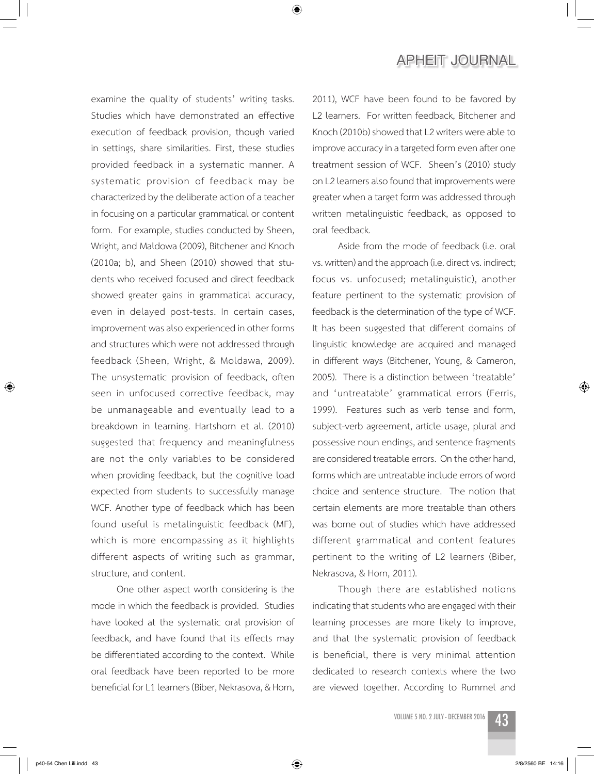# **APHEIT JOURNAL**

examine the quality of students' writing tasks. Studies which have demonstrated an effective execution of feedback provision, though varied in settings, share similarities. First, these studies provided feedback in a systematic manner. A systematic provision of feedback may be characterized by the deliberate action of a teacher in focusing on a particular grammatical or content form. For example, studies conducted by Sheen, Wright, and Maldowa (2009), Bitchener and Knoch (2010a; b), and Sheen (2010) showed that students who received focused and direct feedback showed greater gains in grammatical accuracy, even in delayed post-tests. In certain cases, improvement was also experienced in other forms and structures which were not addressed through feedback (Sheen, Wright, & Moldawa, 2009). The unsystematic provision of feedback, often seen in unfocused corrective feedback, may be unmanageable and eventually lead to a breakdown in learning. Hartshorn et al. (2010) suggested that frequency and meaningfulness are not the only variables to be considered when providing feedback, but the cognitive load expected from students to successfully manage WCF. Another type of feedback which has been found useful is metalinguistic feedback (MF), which is more encompassing as it highlights different aspects of writing such as grammar, structure, and content.

One other aspect worth considering is the mode in which the feedback is provided. Studies have looked at the systematic oral provision of feedback, and have found that its effects may be differentiated according to the context. While oral feedback have been reported to be more beneficial for L1 learners (Biber, Nekrasova, & Horn,

2011), WCF have been found to be favored by L2 learners. For written feedback, Bitchener and Knoch (2010b) showed that L2 writers were able to improve accuracy in a targeted form even after one treatment session of WCF. Sheen's (2010) study on L2 learners also found that improvements were greater when a target form was addressed through written metalinguistic feedback, as opposed to oral feedback.

Aside from the mode of feedback (i.e. oral vs. written) and the approach (i.e. direct vs. indirect; focus vs. unfocused; metalinguistic), another feature pertinent to the systematic provision of feedback is the determination of the type of WCF. It has been suggested that different domains of linguistic knowledge are acquired and managed in different ways (Bitchener, Young, & Cameron, 2005). There is a distinction between 'treatable' and 'untreatable' grammatical errors (Ferris, 1999). Features such as verb tense and form, subject-verb agreement, article usage, plural and possessive noun endings, and sentence fragments are considered treatable errors. On the other hand, forms which are untreatable include errors of word choice and sentence structure. The notion that certain elements are more treatable than others was borne out of studies which have addressed different grammatical and content features pertinent to the writing of L2 learners (Biber, Nekrasova, & Horn, 2011).

Though there are established notions indicating that students who are engaged with their learning processes are more likely to improve, and that the systematic provision of feedback is beneficial, there is very minimal attention dedicated to research contexts where the two are viewed together. According to Rummel and

p40-54 Chen Lili.indd 43 2/8/2560 BE 14:16

↔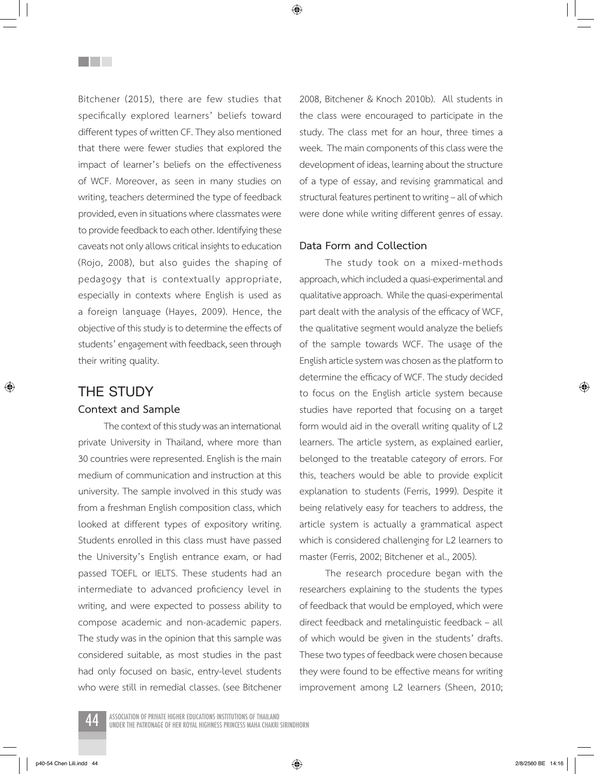Bitchener (2015), there are few studies that specifically explored learners' beliefs toward different types of written CF. They also mentioned that there were fewer studies that explored the impact of learner's beliefs on the effectiveness of WCF. Moreover, as seen in many studies on writing, teachers determined the type of feedback provided, even in situations where classmates were to provide feedback to each other. Identifying these caveats not only allows critical insights to education (Rojo, 2008), but also guides the shaping of pedagogy that is contextually appropriate, especially in contexts where English is used as a foreign language (Hayes, 2009). Hence, the objective of this study is to determine the effects of students' engagement with feedback, seen through their writing quality.

# **THE STUDY Context and Sample**

⊕

<u>Filmer</u>

The context of this study was an international private University in Thailand, where more than 30 countries were represented. English is the main medium of communication and instruction at this university. The sample involved in this study was from a freshman English composition class, which looked at different types of expository writing. Students enrolled in this class must have passed the University's English entrance exam, or had passed TOEFL or IELTS. These students had an intermediate to advanced proficiency level in writing, and were expected to possess ability to compose academic and non-academic papers. The study was in the opinion that this sample was considered suitable, as most studies in the past had only focused on basic, entry-level students who were still in remedial classes. (see Bitchener 2008, Bitchener & Knoch 2010b). All students in the class were encouraged to participate in the study. The class met for an hour, three times a week. The main components of this class were the development of ideas, learning about the structure of a type of essay, and revising grammatical and structural features pertinent to writing – all of which were done while writing different genres of essay.

#### **Data Form and Collection**

The study took on a mixed-methods approach, which included a quasi-experimental and qualitative approach. While the quasi-experimental part dealt with the analysis of the efficacy of WCF, the qualitative segment would analyze the beliefs of the sample towards WCF. The usage of the English article system was chosen as the platform to determine the efficacy of WCF. The study decided to focus on the English article system because studies have reported that focusing on a target form would aid in the overall writing quality of L2 learners. The article system, as explained earlier, belonged to the treatable category of errors. For this, teachers would be able to provide explicit explanation to students (Ferris, 1999). Despite it being relatively easy for teachers to address, the article system is actually a grammatical aspect which is considered challenging for L2 learners to master (Ferris, 2002; Bitchener et al., 2005).

The research procedure began with the researchers explaining to the students the types of feedback that would be employed, which were direct feedback and metalinguistic feedback – all of which would be given in the students' drafts. These two types of feedback were chosen because they were found to be effective means for writing improvement among L2 learners (Sheen, 2010;

ASSOCIATION OF PRIVATE HIGHER EDUCATIONS INSTITUTIONS OF THAILAND<br>UNDER THE PATRONAGE OF HER ROYAL HIGHNESS PRINCESS MAHA CHAKRI SIRINDHORN

p40-54 Chen Lili.indd 44 2/8/2560 BE 14:16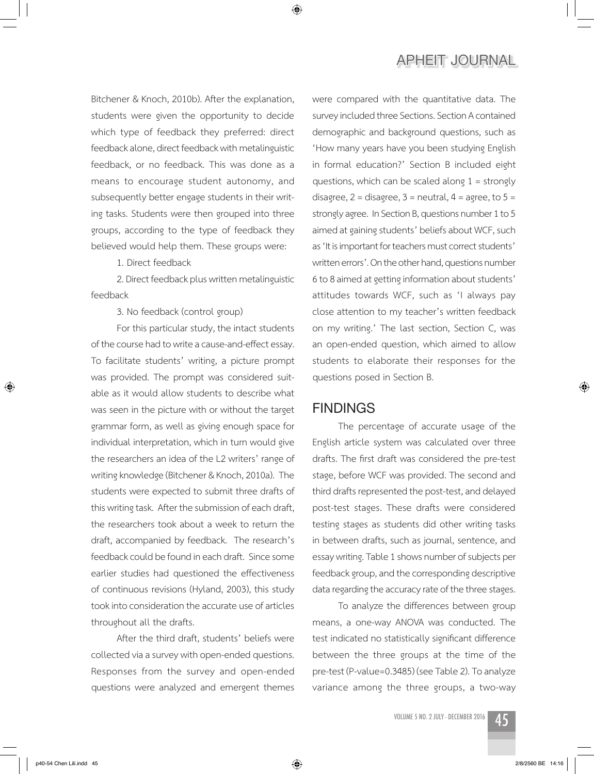Bitchener & Knoch, 2010b). After the explanation, students were given the opportunity to decide which type of feedback they preferred: direct feedback alone, direct feedback with metalinguistic feedback, or no feedback. This was done as a means to encourage student autonomy, and subsequently better engage students in their writing tasks. Students were then grouped into three groups, according to the type of feedback they believed would help them. These groups were:

1. Direct feedback

2. Direct feedback plus written metalinguistic feedback

3. No feedback (control group)

For this particular study, the intact students of the course had to write a cause-and-effect essay. To facilitate students' writing, a picture prompt was provided. The prompt was considered suitable as it would allow students to describe what was seen in the picture with or without the target grammar form, as well as giving enough space for individual interpretation, which in turn would give the researchers an idea of the L2 writers' range of writing knowledge (Bitchener & Knoch, 2010a). The students were expected to submit three drafts of this writing task. After the submission of each draft, the researchers took about a week to return the draft, accompanied by feedback. The research's feedback could be found in each draft. Since some earlier studies had questioned the effectiveness of continuous revisions (Hyland, 2003), this study took into consideration the accurate use of articles throughout all the drafts.

After the third draft, students' beliefs were collected via a survey with open-ended questions. Responses from the survey and open-ended questions were analyzed and emergent themes were compared with the quantitative data. The survey included three Sections. Section A contained demographic and background questions, such as 'How many years have you been studying English in formal education?' Section B included eight questions, which can be scaled along  $1 =$  strongly disagree,  $2 =$  disagree,  $3 =$  neutral,  $4 =$  agree, to  $5 =$ strongly agree. In Section B, questions number 1 to 5 aimed at gaining students' beliefs about WCF, such as 'It is important for teachers must correct students' written errors'. On the other hand, questions number 6 to 8 aimed at getting information about students' attitudes towards WCF, such as 'I always pay close attention to my teacher's written feedback on my writing.' The last section, Section C, was an open-ended question, which aimed to allow students to elaborate their responses for the questions posed in Section B.

## **FINDINGS**

◈

The percentage of accurate usage of the English article system was calculated over three drafts. The first draft was considered the pre-test stage, before WCF was provided. The second and third drafts represented the post-test, and delayed post-test stages. These drafts were considered testing stages as students did other writing tasks in between drafts, such as journal, sentence, and essay writing. Table 1 shows number of subjects per feedback group, and the corresponding descriptive data regarding the accuracy rate of the three stages.

To analyze the differences between group means, a one-way ANOVA was conducted. The test indicated no statistically significant difference between the three groups at the time of the pre-test (P-value=0.3485) (see Table 2). To analyze variance among the three groups, a two-way

⊕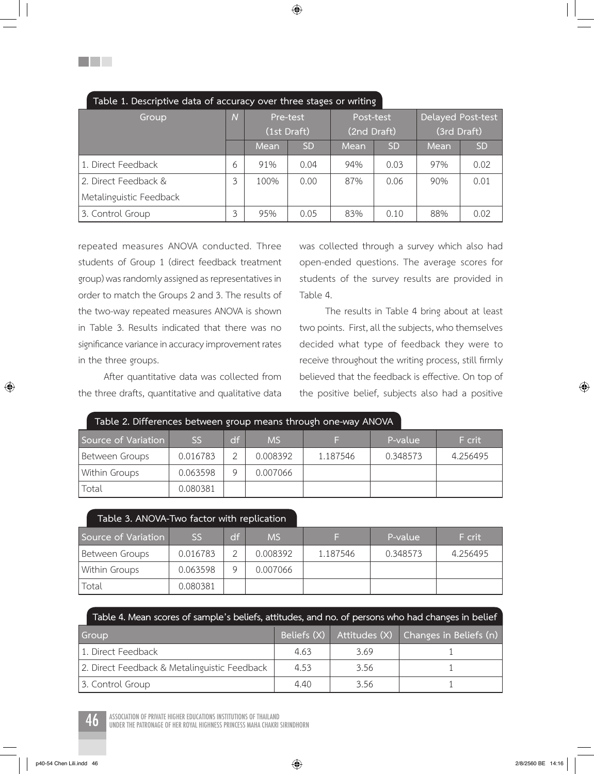| rable 1. Descriptive data or accuracy over timed stages or writing |                |             |           |             |           |                   |           |
|--------------------------------------------------------------------|----------------|-------------|-----------|-------------|-----------|-------------------|-----------|
| Group                                                              | $\overline{N}$ | Pre-test    |           | Post-test   |           | Delayed Post-test |           |
|                                                                    |                | (1st Draft) |           | (2nd Draft) |           | (3rd Draft)       |           |
|                                                                    |                | Mean        | <b>SD</b> | Mean        | <b>SD</b> | Mean              | <b>SD</b> |
| 1. Direct Feedback                                                 | 6              | 91%         | 0.04      | 94%         | 0.03      | 97%               | 0.02      |
| 2. Direct Feedback &                                               | 3              | 100%        | 0.00      | 87%         | 0.06      | 90%               | 0.01      |
| Metalinguistic Feedback                                            |                |             |           |             |           |                   |           |
| 3. Control Group                                                   | 3              | 95%         | 0.05      | 83%         | 0.10      | 88%               | 0.02      |

#### **Table 1. Descriptive data of accuracy over three stages or writing**

repeated measures ANOVA conducted. Three students of Group 1 (direct feedback treatment group) was randomly assigned as representatives in order to match the Groups 2 and 3. The results of the two-way repeated measures ANOVA is shown in Table 3. Results indicated that there was no significance variance in accuracy improvement rates in the three groups.

<u>Filmer</u>

After quantitative data was collected from the three drafts, quantitative and qualitative data was collected through a survey which also had open-ended questions. The average scores for students of the survey results are provided in Table 4.

The results in Table 4 bring about at least two points. First, all the subjects, who themselves decided what type of feedback they were to receive throughout the writing process, still firmly believed that the feedback is effective. On top of the positive belief, subjects also had a positive

| Table 2. Differences between group means through one-way ANOVA |           |      |           |          |          |          |
|----------------------------------------------------------------|-----------|------|-----------|----------|----------|----------|
| Source of Variation                                            | <b>SS</b> | df / | <b>MS</b> |          | P-value  | F crit   |
| Between Groups                                                 | 0.016783  |      | 0.008392  | 1.187546 | 0.348573 | 4.256495 |
| Within Groups                                                  | 0.063598  |      | 0.007066  |          |          |          |
| Total                                                          | 0.080381  |      |           |          |          |          |

| Table 3. ANOVA-Two factor with replication |           |    |           |          |          |          |
|--------------------------------------------|-----------|----|-----------|----------|----------|----------|
| Source of Variation                        | <b>SS</b> | df | <b>MS</b> | Æ        | P-value  | F crit   |
| Between Groups                             | 0.016783  | ◠  | 0.008392  | 1.187546 | 0.348573 | 4.256495 |
| Within Groups                              | 0.063598  |    | 0.007066  |          |          |          |
| Total                                      | 0.080381  |    |           |          |          |          |

| Table 4. Mean scores of sample's beliefs, attitudes, and no. of persons who had changes in belief |      |      |                                                        |  |  |  |
|---------------------------------------------------------------------------------------------------|------|------|--------------------------------------------------------|--|--|--|
| Group                                                                                             |      |      | Beliefs $(X)$ Attitudes $(X)$ Changes in Beliefs $(n)$ |  |  |  |
| 1. Direct Feedback                                                                                | 4.63 | 3.69 |                                                        |  |  |  |
| 2. Direct Feedback & Metalinguistic Feedback                                                      | 4.53 | 3.56 |                                                        |  |  |  |
| 3. Control Group                                                                                  | 4.40 | 3.56 |                                                        |  |  |  |

ASSOCIATION OF PRIVATE HIGHER EDUCATIONS INSTITUTIONS OF THAILAND 40 UNDER THE PATRONAGE OF HER ROYAL HIGHNESS PRINCESS MAHA CHAKRI SIRINDHORN

⊕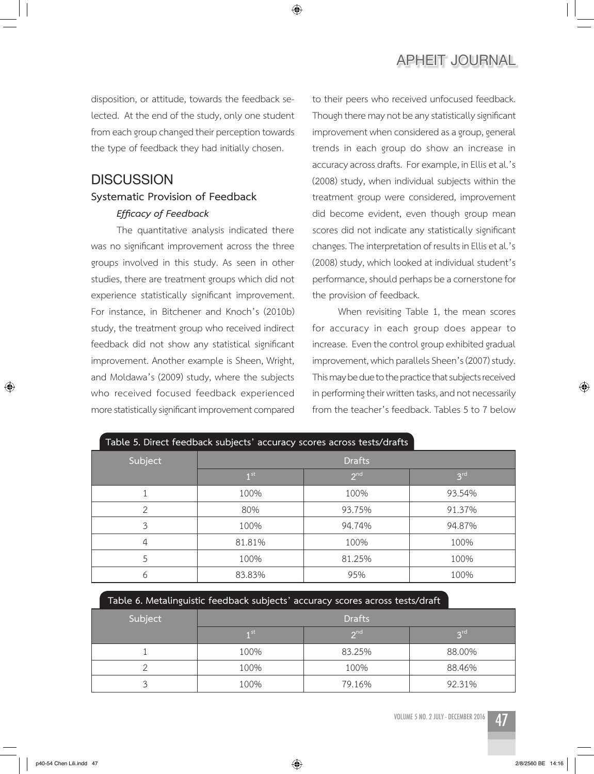# **APHEIT JOURNAL**

disposition, or attitude, towards the feedback selected. At the end of the study, only one student from each group changed their perception towards the type of feedback they had initially chosen.

# **DISCUSSION Systematic Provision of Feedback**  *Efficacy of Feedback*

The quantitative analysis indicated there was no significant improvement across the three groups involved in this study. As seen in other studies, there are treatment groups which did not experience statistically significant improvement. For instance, in Bitchener and Knoch's (2010b) study, the treatment group who received indirect feedback did not show any statistical significant improvement. Another example is Sheen, Wright, and Moldawa's (2009) study, where the subjects who received focused feedback experienced more statistically significant improvement compared

to their peers who received unfocused feedback. Though there may not be any statistically significant improvement when considered as a group, general trends in each group do show an increase in accuracy across drafts. For example, in Ellis et al.'s (2008) study, when individual subjects within the treatment group were considered, improvement did become evident, even though group mean scores did not indicate any statistically significant changes. The interpretation of results in Ellis et al.'s (2008) study, which looked at individual student's performance, should perhaps be a cornerstone for the provision of feedback.

When revisiting Table 1, the mean scores for accuracy in each group does appear to increase. Even the control group exhibited gradual improvement, which parallels Sheen's (2007) study. This may be due to the practice that subjects received in performing their written tasks, and not necessarily from the teacher's feedback. Tables 5 to 7 below

| rable 5. Direct recuback subjects accuracy scores across tests/drarts |                 |                 |                 |  |  |
|-----------------------------------------------------------------------|-----------------|-----------------|-----------------|--|--|
| Subject                                                               | <b>Drafts</b>   |                 |                 |  |  |
|                                                                       | 1 <sup>st</sup> | 2 <sup>nd</sup> | 3 <sup>rd</sup> |  |  |
|                                                                       | 100%            | 100%            | 93.54%          |  |  |
| っ                                                                     | 80%             | 93.75%          | 91.37%          |  |  |
| 3                                                                     | 100%            | 94.74%          | 94.87%          |  |  |
| 4                                                                     | 81.81%          | 100%            | 100%            |  |  |
| 5                                                                     | 100%            | 81.25%          | 100%            |  |  |
|                                                                       | 83.83%          | 95%             | 100%            |  |  |
|                                                                       |                 |                 |                 |  |  |

**Table 5. Direct feedback subjects' accuracy scores across tests/drafts** 

#### **Table 6. Metalinguistic feedback subjects' accuracy scores across tests/draft**

| Subject | <b>Drafts</b>   |                 |          |  |
|---------|-----------------|-----------------|----------|--|
|         | 1 <sup>st</sup> | 2 <sup>nd</sup> | $2^{rd}$ |  |
|         | 100%            | 83.25%          | 88.00%   |  |
|         | 100%            | 100%            | 88.46%   |  |
|         | 100%            | 79.16%          | 92.31%   |  |



⊕

 $\bigoplus$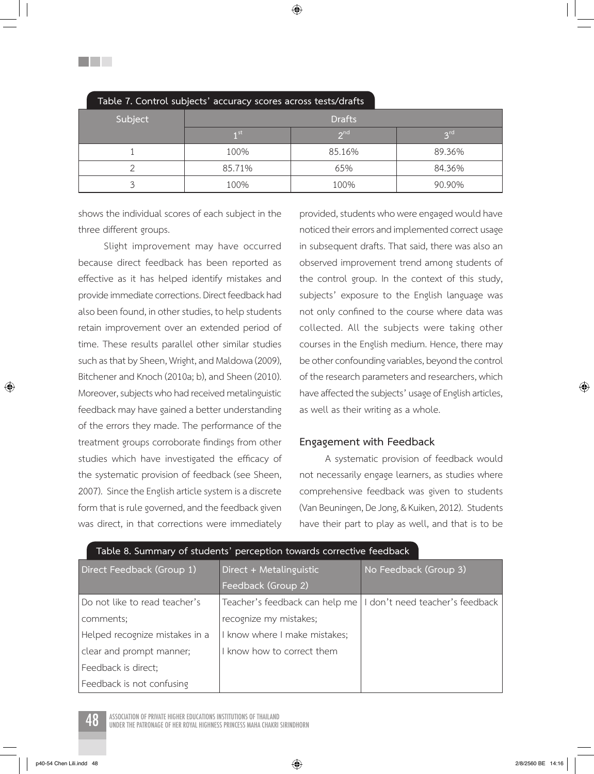| Table 7. Control subjects' accuracy scores across tests/drafts |                 |                 |          |  |  |
|----------------------------------------------------------------|-----------------|-----------------|----------|--|--|
| Subject                                                        | <b>Drafts</b>   |                 |          |  |  |
|                                                                | 1 <sup>st</sup> | 2 <sub>nd</sub> | $2^{rd}$ |  |  |
|                                                                | 100%            | 85.16%          | 89.36%   |  |  |
|                                                                | 85.71%          | 65%             | 84.36%   |  |  |
|                                                                | 100%            | 100%            | 90.90%   |  |  |

shows the individual scores of each subject in the three different groups.

**Film** Fi

Slight improvement may have occurred because direct feedback has been reported as effective as it has helped identify mistakes and provide immediate corrections. Direct feedback had also been found, in other studies, to help students retain improvement over an extended period of time. These results parallel other similar studies such as that by Sheen, Wright, and Maldowa (2009), Bitchener and Knoch (2010a; b), and Sheen (2010). Moreover, subjects who had received metalinguistic feedback may have gained a better understanding of the errors they made. The performance of the treatment groups corroborate findings from other studies which have investigated the efficacy of the systematic provision of feedback (see Sheen, 2007). Since the English article system is a discrete form that is rule governed, and the feedback given was direct, in that corrections were immediately provided, students who were engaged would have noticed their errors and implemented correct usage in subsequent drafts. That said, there was also an observed improvement trend among students of the control group. In the context of this study, subjects' exposure to the English language was not only confined to the course where data was collected. All the subjects were taking other courses in the English medium. Hence, there may be other confounding variables, beyond the control of the research parameters and researchers, which have affected the subjects' usage of English articles, as well as their writing as a whole.

#### **Engagement with Feedback**

A systematic provision of feedback would not necessarily engage learners, as studies where comprehensive feedback was given to students (Van Beuningen, De Jong, & Kuiken, 2012). Students have their part to play as well, and that is to be

| Table 8. Summary of students' perception towards corrective feedback |                                |                                 |  |  |  |  |
|----------------------------------------------------------------------|--------------------------------|---------------------------------|--|--|--|--|
| Direct Feedback (Group 1)                                            | Direct + Metalinguistic        | No Feedback (Group 3)           |  |  |  |  |
|                                                                      | Feedback (Group 2)             |                                 |  |  |  |  |
| Do not like to read teacher's                                        | Teacher's feedback can help me | I don't need teacher's feedback |  |  |  |  |
| comments;                                                            | recognize my mistakes;         |                                 |  |  |  |  |
| Helped recognize mistakes in a                                       | I know where I make mistakes;  |                                 |  |  |  |  |
| clear and prompt manner;                                             | I know how to correct them     |                                 |  |  |  |  |
| Feedback is direct;                                                  |                                |                                 |  |  |  |  |
| Feedback is not confusing                                            |                                |                                 |  |  |  |  |

ASSOCIATION OF PRIVATE HIGHER EDUCATIONS INSTITUTIONS OF THAILAND<br>UNDER THE PATRONAGE OF HER ROYAL HIGHNESS PRINCESS MAHA CHAKRI SIRINDHORN

⊕

↔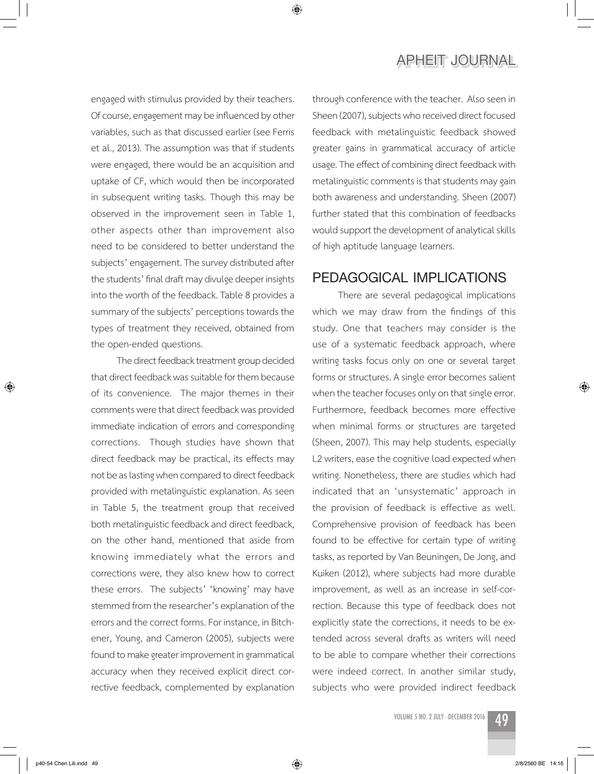engaged with stimulus provided by their teachers. Of course, engagement may be influenced by other variables, such as that discussed earlier (see Ferris et al., 2013). The assumption was that if students were engaged, there would be an acquisition and uptake of CF, which would then be incorporated in subsequent writing tasks. Though this may be observed in the improvement seen in Table 1, other aspects other than improvement also need to be considered to better understand the subjects' engagement. The survey distributed after the students' final draft may divulge deeper insights into the worth of the feedback. Table 8 provides a summary of the subjects' perceptions towards the types of treatment they received, obtained from the open-ended questions.

◈

The direct feedback treatment group decided that direct feedback was suitable for them because of its convenience. The major themes in their comments were that direct feedback was provided immediate indication of errors and corresponding corrections. Though studies have shown that direct feedback may be practical, its effects may not be as lasting when compared to direct feedback provided with metalinguistic explanation. As seen in Table 5, the treatment group that received both metalinguistic feedback and direct feedback, on the other hand, mentioned that aside from knowing immediately what the errors and corrections were, they also knew how to correct these errors. The subjects' 'knowing' may have stemmed from the researcher's explanation of the errors and the correct forms. For instance, in Bitchener, Young, and Cameron (2005), subjects were found to make greater improvement in grammatical accuracy when they received explicit direct corrective feedback, complemented by explanation

through conference with the teacher. Also seen in Sheen (2007), subjects who received direct focused feedback with metalinguistic feedback showed greater gains in grammatical accuracy of article usage. The effect of combining direct feedback with metalinguistic comments is that students may gain both awareness and understanding. Sheen (2007) further stated that this combination of feedbacks would support the development of analytical skills of high aptitude language learners.

# **PEDAGOGICAL IMPLICATIONS**

There are several pedagogical implications which we may draw from the findings of this study. One that teachers may consider is the use of a systematic feedback approach, where writing tasks focus only on one or several target forms or structures. A single error becomes salient when the teacher focuses only on that single error. Furthermore, feedback becomes more effective when minimal forms or structures are targeted (Sheen, 2007). This may help students, especially L2 writers, ease the cognitive load expected when writing. Nonetheless, there are studies which had indicated that an 'unsystematic' approach in the provision of feedback is effective as well. Comprehensive provision of feedback has been found to be effective for certain type of writing tasks, as reported by Van Beuningen, De Jong, and Kuiken (2012), where subjects had more durable improvement, as well as an increase in self-correction. Because this type of feedback does not explicitly state the corrections, it needs to be extended across several drafts as writers will need to be able to compare whether their corrections were indeed correct. In another similar study, subjects who were provided indirect feedback

⊕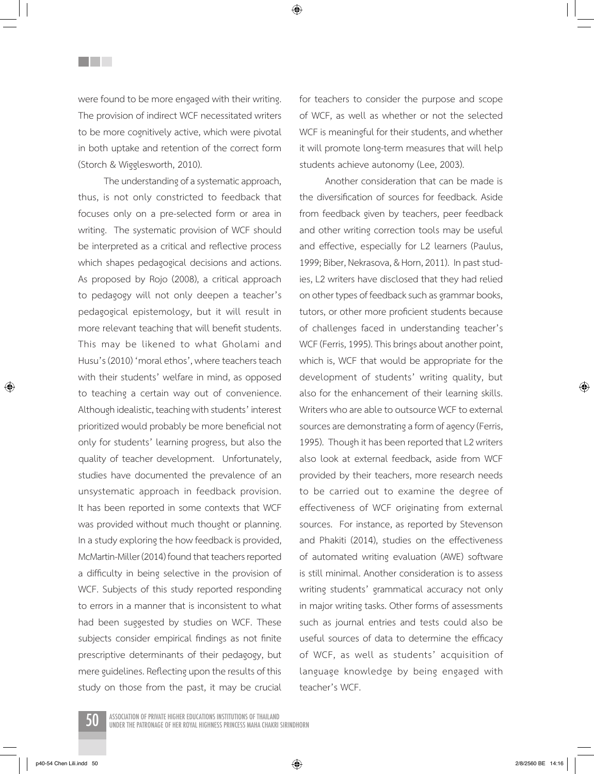were found to be more engaged with their writing. The provision of indirect WCF necessitated writers to be more cognitively active, which were pivotal in both uptake and retention of the correct form (Storch & Wigglesworth, 2010).

<u>Filmer</u>

The understanding of a systematic approach, thus, is not only constricted to feedback that focuses only on a pre-selected form or area in writing. The systematic provision of WCF should be interpreted as a critical and reflective process which shapes pedagogical decisions and actions. As proposed by Rojo (2008), a critical approach to pedagogy will not only deepen a teacher's pedagogical epistemology, but it will result in more relevant teaching that will benefit students. This may be likened to what Gholami and Husu's (2010) 'moral ethos', where teachers teach with their students' welfare in mind, as opposed to teaching a certain way out of convenience. Although idealistic, teaching with students' interest prioritized would probably be more beneficial not only for students' learning progress, but also the quality of teacher development. Unfortunately, studies have documented the prevalence of an unsystematic approach in feedback provision. It has been reported in some contexts that WCF was provided without much thought or planning. In a study exploring the how feedback is provided, McMartin-Miller (2014) found that teachers reported a difficulty in being selective in the provision of WCF. Subjects of this study reported responding to errors in a manner that is inconsistent to what had been suggested by studies on WCF. These subjects consider empirical findings as not finite prescriptive determinants of their pedagogy, but mere guidelines. Reflecting upon the results of this study on those from the past, it may be crucial for teachers to consider the purpose and scope of WCF, as well as whether or not the selected WCF is meaningful for their students, and whether it will promote long-term measures that will help students achieve autonomy (Lee, 2003).

Another consideration that can be made is the diversification of sources for feedback. Aside from feedback given by teachers, peer feedback and other writing correction tools may be useful and effective, especially for L2 learners (Paulus, 1999; Biber, Nekrasova, & Horn, 2011). In past studies, L2 writers have disclosed that they had relied on other types of feedback such as grammar books, tutors, or other more proficient students because of challenges faced in understanding teacher's WCF (Ferris, 1995). This brings about another point, which is, WCF that would be appropriate for the development of students' writing quality, but also for the enhancement of their learning skills. Writers who are able to outsource WCF to external sources are demonstrating a form of agency (Ferris, 1995). Though it has been reported that L2 writers also look at external feedback, aside from WCF provided by their teachers, more research needs to be carried out to examine the degree of effectiveness of WCF originating from external sources. For instance, as reported by Stevenson and Phakiti (2014), studies on the effectiveness of automated writing evaluation (AWE) software is still minimal. Another consideration is to assess writing students' grammatical accuracy not only in major writing tasks. Other forms of assessments such as journal entries and tests could also be useful sources of data to determine the efficacy of WCF, as well as students' acquisition of language knowledge by being engaged with teacher's WCF.



⊕

p40-54 Chen Lili.indd 50 2/8/2560 BE 14:16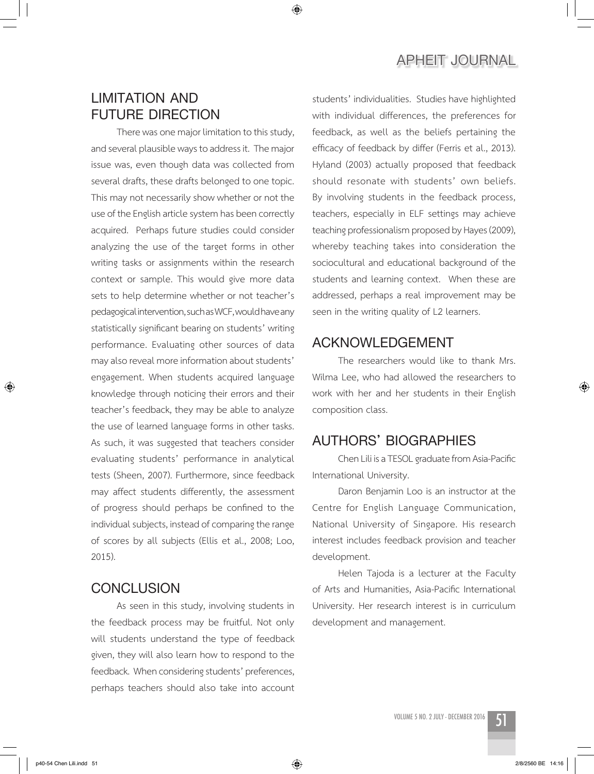# **LIMITATION AND FUTURE DIRECTION**

There was one major limitation to this study, and several plausible ways to address it. The major issue was, even though data was collected from several drafts, these drafts belonged to one topic. This may not necessarily show whether or not the use of the English article system has been correctly acquired. Perhaps future studies could consider analyzing the use of the target forms in other writing tasks or assignments within the research context or sample. This would give more data sets to help determine whether or not teacher's pedagogical intervention, such as WCF, would have any statistically significant bearing on students' writing performance. Evaluating other sources of data may also reveal more information about students' engagement. When students acquired language knowledge through noticing their errors and their teacher's feedback, they may be able to analyze the use of learned language forms in other tasks. As such, it was suggested that teachers consider evaluating students' performance in analytical tests (Sheen, 2007). Furthermore, since feedback may affect students differently, the assessment of progress should perhaps be confined to the individual subjects, instead of comparing the range of scores by all subjects (Ellis et al., 2008; Loo, 2015).

# **CONCLUSION**

As seen in this study, involving students in the feedback process may be fruitful. Not only will students understand the type of feedback given, they will also learn how to respond to the feedback. When considering students' preferences, perhaps teachers should also take into account

students' individualities. Studies have highlighted with individual differences, the preferences for feedback, as well as the beliefs pertaining the efficacy of feedback by differ (Ferris et al., 2013). Hyland (2003) actually proposed that feedback should resonate with students' own beliefs. By involving students in the feedback process, teachers, especially in ELF settings may achieve teaching professionalism proposed by Hayes (2009), whereby teaching takes into consideration the sociocultural and educational background of the students and learning context. When these are addressed, perhaps a real improvement may be seen in the writing quality of L2 learners.

# **ACKNOWLEDGEMENT**

The researchers would like to thank Mrs. Wilma Lee, who had allowed the researchers to work with her and her students in their English composition class.

# **AUTHORS' BIOGRAPHIES**

Chen Lili is a TESOL graduate from Asia-Pacific International University.

Daron Benjamin Loo is an instructor at the Centre for English Language Communication, National University of Singapore. His research interest includes feedback provision and teacher development.

Helen Tajoda is a lecturer at the Faculty of Arts and Humanities, Asia-Pacific International University. Her research interest is in curriculum development and management.

⊕

⊕

◈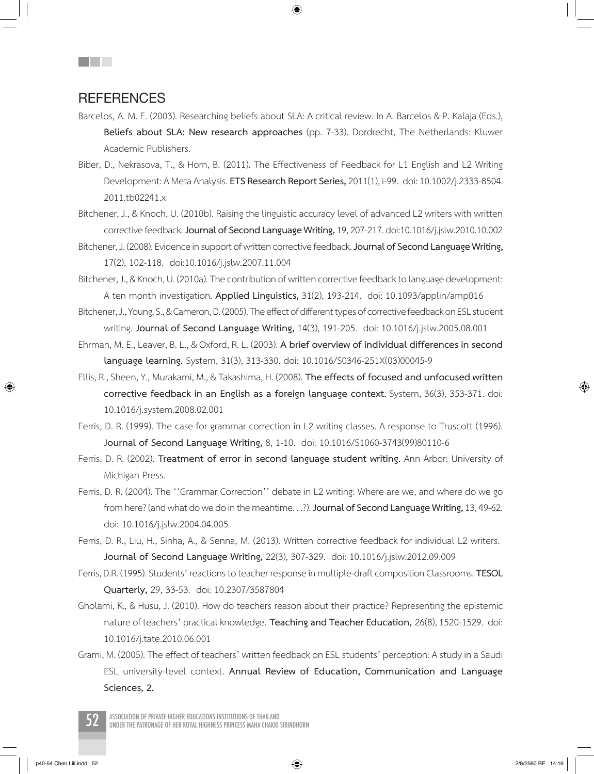## **REFERENCES**

<u>Filmer</u>

Barcelos, A. M. F. (2003). Researching beliefs about SLA: A critical review. In A. Barcelos & P. Kalaja (Eds.), **Beliefs about SLA: New research approaches** (pp. 7-33). Dordrecht, The Netherlands: Kluwer Academic Publishers.

◈

Biber, D., Nekrasova, T., & Horn, B. (2011). The Effectiveness of Feedback for L1 English and L2 Writing Development: A Meta Analysis. **ETS Research Report Series,** 2011(1), i-99. doi: 10.1002/j.2333-8504. 2011.tb02241.x

Bitchener, J., & Knoch, U. (2010b). Raising the linguistic accuracy level of advanced L2 writers with written corrective feedback. **Journal of Second Language Writing,** 19, 207-217. doi:10.1016/j.jslw.2010.10.002

Bitchener, J. (2008). Evidence in support of written corrective feedback. **Journal of Second Language Writing,**  17(2), 102-118. doi:10.1016/j.jslw.2007.11.004

Bitchener, J., & Knoch, U. (2010a). The contribution of written corrective feedback to language development: A ten month investigation. **Applied Linguistics,** 31(2), 193-214. doi: 10.1093/applin/amp016

Bitchener, J., Young, S., & Cameron, D. (2005). The effect of different types of corrective feedback on ESL student writing. **Journal of Second Language Writing,** 14(3), 191-205. doi: 10.1016/j.jslw.2005.08.001

Ehrman, M. E., Leaver, B. L., & Oxford, R. L. (2003). **A brief overview of individual differences in second language learning.** System, 31(3), 313-330. doi: 10.1016/S0346-251X(03)00045-9

Ellis, R., Sheen, Y., Murakami, M., & Takashima, H. (2008). **The effects of focused and unfocused written corrective feedback in an English as a foreign language context.** System, 36(3), 353-371. doi: 10.1016/j.system.2008.02.001

Ferris, D. R. (1999). The case for grammar correction in L2 writing classes. A response to Truscott (1996). J**ournal of Second Language Writing,** 8, 1-10. doi: 10.1016/S1060-3743(99)80110-6

- Ferris, D. R. (2002). **Treatment of error in second language student writing.** Ann Arbor: University of Michigan Press.
- Ferris, D. R. (2004). The ''Grammar Correction'' debate in L2 writing: Where are we, and where do we go from here? (and what do we do in the meantime. . .?). **Journal of Second Language Writing,** 13, 49-62. doi: 10.1016/j.jslw.2004.04.005
- Ferris, D. R., Liu, H., Sinha, A., & Senna, M. (2013). Written corrective feedback for individual L2 writers. **Journal of Second Language Writing,** 22(3), 307-329. doi: 10.1016/j.jslw.2012.09.009
- Ferris, D.R. (1995). Students' reactions to teacher response in multiple-draft composition Classrooms. **TESOL Quarterly,** 29, 33-53. doi: 10.2307/3587804
- Gholami, K., & Husu, J. (2010). How do teachers reason about their practice? Representing the epistemic nature of teachers' practical knowledge. **Teaching and Teacher Education,** 26(8), 1520-1529. doi: 10.1016/j.tate.2010.06.001
- Grami, M. (2005). The effect of teachers' written feedback on ESL students' perception: A study in a Saudi ESL university-level context. **Annual Review of Education, Communication and Language Sciences, 2.**

ASSOCIATION OF PRIVATE HIGHER EDUCATIONS INSTITUTIONS OF THAILAND<br>UNDER THE PATRONAGE OF HER ROYAL HIGHNESS PRINCESS MAHA CHAKRI SIRINDHORN

⊕

↔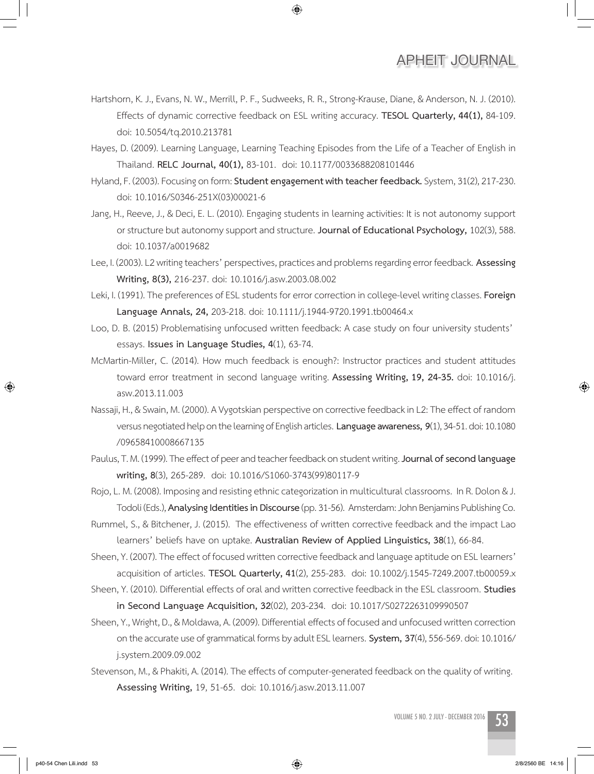Hartshorn, K. J., Evans, N. W., Merrill, P. F., Sudweeks, R. R., Strong-Krause, Diane, & Anderson, N. J. (2010). Effects of dynamic corrective feedback on ESL writing accuracy. **TESOL Quarterly, 44(1),** 84-109. doi: 10.5054/tq.2010.213781

◈

- Hayes, D. (2009). Learning Language, Learning Teaching Episodes from the Life of a Teacher of English in Thailand. **RELC Journal, 40(1),** 83-101. doi: 10.1177/0033688208101446
- Hyland, F. (2003). Focusing on form: **Student engagement with teacher feedback.** System, 31(2), 217-230. doi: 10.1016/S0346-251X(03)00021-6
- Jang, H., Reeve, J., & Deci, E. L. (2010). Engaging students in learning activities: It is not autonomy support or structure but autonomy support and structure. **Journal of Educational Psychology,** 102(3), 588. doi: 10.1037/a0019682
- Lee, I. (2003). L2 writing teachers' perspectives, practices and problems regarding error feedback. **Assessing Writing, 8(3),** 216-237. doi: 10.1016/j.asw.2003.08.002
- Leki, I. (1991). The preferences of ESL students for error correction in college-level writing classes. **Foreign Language Annals, 24,** 203-218. doi: 10.1111/j.1944-9720.1991.tb00464.x
- Loo, D. B. (2015) Problematising unfocused written feedback: A case study on four university students' essays. **Issues in Language Studies, 4**(1), 63-74.
- McMartin-Miller, C. (2014). How much feedback is enough?: Instructor practices and student attitudes toward error treatment in second language writing. **Assessing Writing, 19, 24-35.** doi: 10.1016/j. asw.2013.11.003
- Nassaji, H., & Swain, M. (2000). A Vygotskian perspective on corrective feedback in L2: The effect of random versus negotiated help on the learning of English articles. **Language awareness, 9**(1), 34-51. doi: 10.1080 /09658410008667135
- Paulus, T. M. (1999). The effect of peer and teacher feedback on student writing. **Journal of second language writing, 8**(3), 265-289. doi: 10.1016/S1060-3743(99)80117-9

Rojo, L. M. (2008). Imposing and resisting ethnic categorization in multicultural classrooms. In R. Dolon & J. Todoli (Eds.), **Analysing Identities in Discourse** (pp. 31-56). Amsterdam: John Benjamins Publishing Co.

Rummel, S., & Bitchener, J. (2015). The effectiveness of written corrective feedback and the impact Lao learners' beliefs have on uptake. **Australian Review of Applied Linguistics, 38**(1), 66-84.

Sheen, Y. (2007). The effect of focused written corrective feedback and language aptitude on ESL learners' acquisition of articles. **TESOL Quarterly, 41**(2), 255-283. doi: 10.1002/j.1545-7249.2007.tb00059.x

Sheen, Y. (2010). Differential effects of oral and written corrective feedback in the ESL classroom. **Studies in Second Language Acquisition, 32**(02), 203-234. doi: 10.1017/S0272263109990507

- Sheen, Y., Wright, D., & Moldawa, A. (2009). Differential effects of focused and unfocused written correction on the accurate use of grammatical forms by adult ESL learners. **System, 37**(4), 556-569. doi: 10.1016/ j.system.2009.09.002
- Stevenson, M., & Phakiti, A. (2014). The effects of computer-generated feedback on the quality of writing. **Assessing Writing,** 19, 51-65. doi: 10.1016/j.asw.2013.11.007

 $\bigcirc$ 

↔